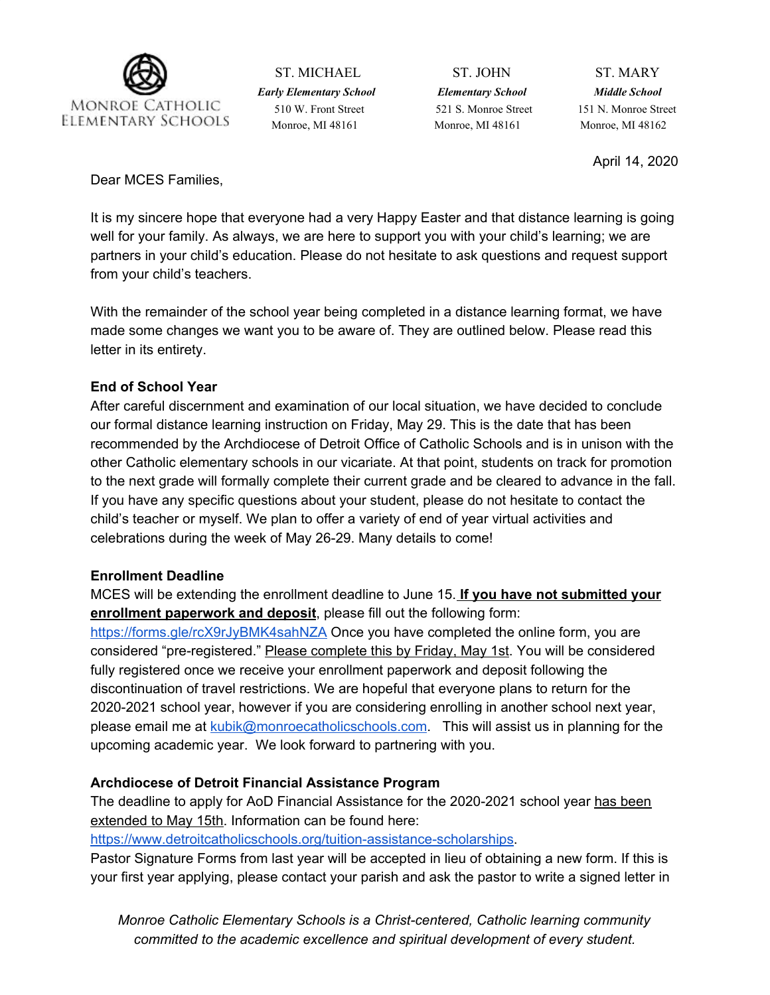

ST. MICHAEL ST. JOHN ST. MARY *Early Elementary School Elementary School Middle School* 510 W. Front Street 521 S. Monroe Street 151 N. Monroe Street Monroe, MI 48161 Monroe, MI 48161 Monroe, MI 48162

April 14, 2020

Dear MCES Families,

It is my sincere hope that everyone had a very Happy Easter and that distance learning is going well for your family. As always, we are here to support you with your child's learning; we are partners in your child's education. Please do not hesitate to ask questions and request support from your child's teachers.

With the remainder of the school year being completed in a distance learning format, we have made some changes we want you to be aware of. They are outlined below. Please read this letter in its entirety.

# **End of School Year**

After careful discernment and examination of our local situation, we have decided to conclude our formal distance learning instruction on Friday, May 29. This is the date that has been recommended by the Archdiocese of Detroit Office of Catholic Schools and is in unison with the other Catholic elementary schools in our vicariate. At that point, students on track for promotion to the next grade will formally complete their current grade and be cleared to advance in the fall. If you have any specific questions about your student, please do not hesitate to contact the child's teacher or myself. We plan to offer a variety of end of year virtual activities and celebrations during the week of May 26-29. Many details to come!

# **Enrollment Deadline**

MCES will be extending the enrollment deadline to June 15. **If you have not submitted your enrollment paperwork and deposit**, please fill out the following form:

<https://forms.gle/rcX9rJyBMK4sahNZA> Once you have completed the online form, you are considered "pre-registered." Please complete this by Friday, May 1st. You will be considered fully registered once we receive your enrollment paperwork and deposit following the discontinuation of travel restrictions. We are hopeful that everyone plans to return for the 2020-2021 school year, however if you are considering enrolling in another school next year, please email me at [kubik@monroecatholicschools.com.](mailto:kubik@monroecatholicschools.com) This will assist us in planning for the upcoming academic year. We look forward to partnering with you.

# **Archdiocese of Detroit Financial Assistance Program**

The deadline to apply for AoD Financial Assistance for the 2020-2021 school year has been extended to May 15th. Information can be found here:

[https://www.detroitcatholicschools.org/tuition-assistance-scholarships.](https://www.detroitcatholicschools.org/tuition-assistance-scholarships)

Pastor Signature Forms from last year will be accepted in lieu of obtaining a new form. If this is your first year applying, please contact your parish and ask the pastor to write a signed letter in

*Monroe Catholic Elementary Schools is a Christ-centered, Catholic learning community committed to the academic excellence and spiritual development of every student.*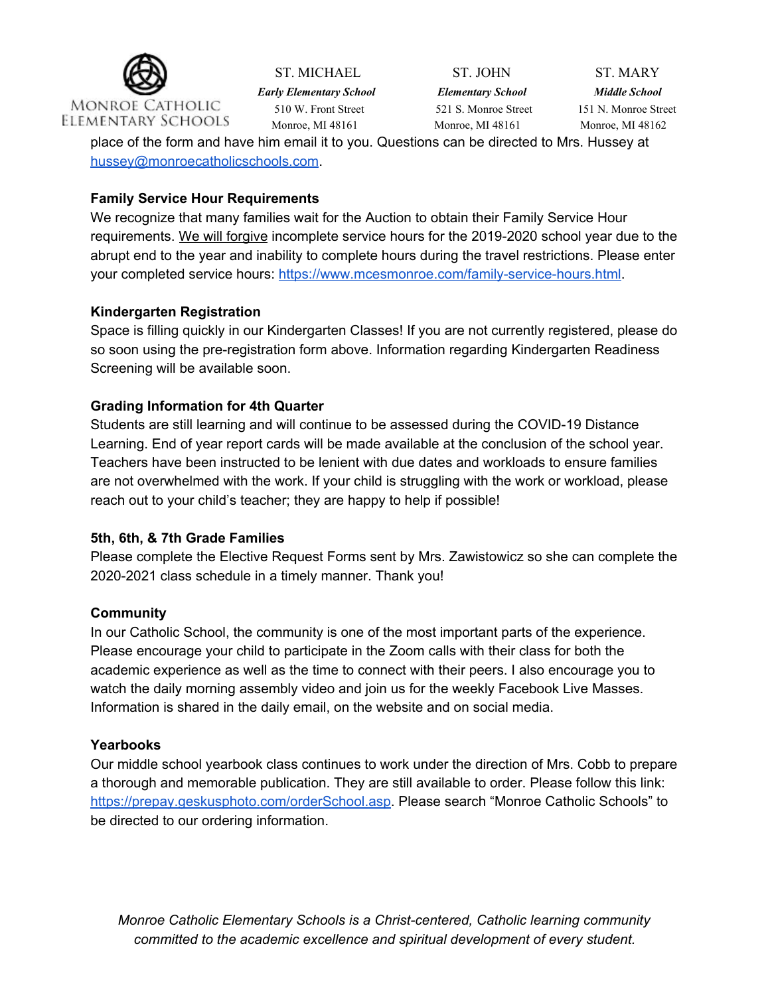

*Early Elementary School Elementary School Middle School* Monroe, MI 48161 Monroe, MI 48161 Monroe, MI 48162

ST. MICHAEL ST. JOHN ST. MARY

510 W. Front Street 521 S. Monroe Street 151 N. Monroe Street

place of the form and have him email it to you. Questions can be directed to Mrs. Hussey at [hussey@monroecatholicschools.com.](mailto:hussey@monroecatholicschools.com)

### **Family Service Hour Requirements**

We recognize that many families wait for the Auction to obtain their Family Service Hour requirements. We will forgive incomplete service hours for the 2019-2020 school year due to the abrupt end to the year and inability to complete hours during the travel restrictions. Please enter your completed service hours: <https://www.mcesmonroe.com/family-service-hours.html>.

### **Kindergarten Registration**

Space is filling quickly in our Kindergarten Classes! If you are not currently registered, please do so soon using the pre-registration form above. Information regarding Kindergarten Readiness Screening will be available soon.

# **Grading Information for 4th Quarter**

Students are still learning and will continue to be assessed during the COVID-19 Distance Learning. End of year report cards will be made available at the conclusion of the school year. Teachers have been instructed to be lenient with due dates and workloads to ensure families are not overwhelmed with the work. If your child is struggling with the work or workload, please reach out to your child's teacher; they are happy to help if possible!

#### **5th, 6th, & 7th Grade Families**

Please complete the Elective Request Forms sent by Mrs. Zawistowicz so she can complete the 2020-2021 class schedule in a timely manner. Thank you!

#### **Community**

In our Catholic School, the community is one of the most important parts of the experience. Please encourage your child to participate in the Zoom calls with their class for both the academic experience as well as the time to connect with their peers. I also encourage you to watch the daily morning assembly video and join us for the weekly Facebook Live Masses. Information is shared in the daily email, on the website and on social media.

# **Yearbooks**

Our middle school yearbook class continues to work under the direction of Mrs. Cobb to prepare a thorough and memorable publication. They are still available to order. Please follow this link: [https://prepay.geskusphoto.com/orderSchool.asp.](https://prepay.geskusphoto.com/orderSchool.asp) Please search "Monroe Catholic Schools" to be directed to our ordering information.

*Monroe Catholic Elementary Schools is a Christ-centered, Catholic learning community committed to the academic excellence and spiritual development of every student.*